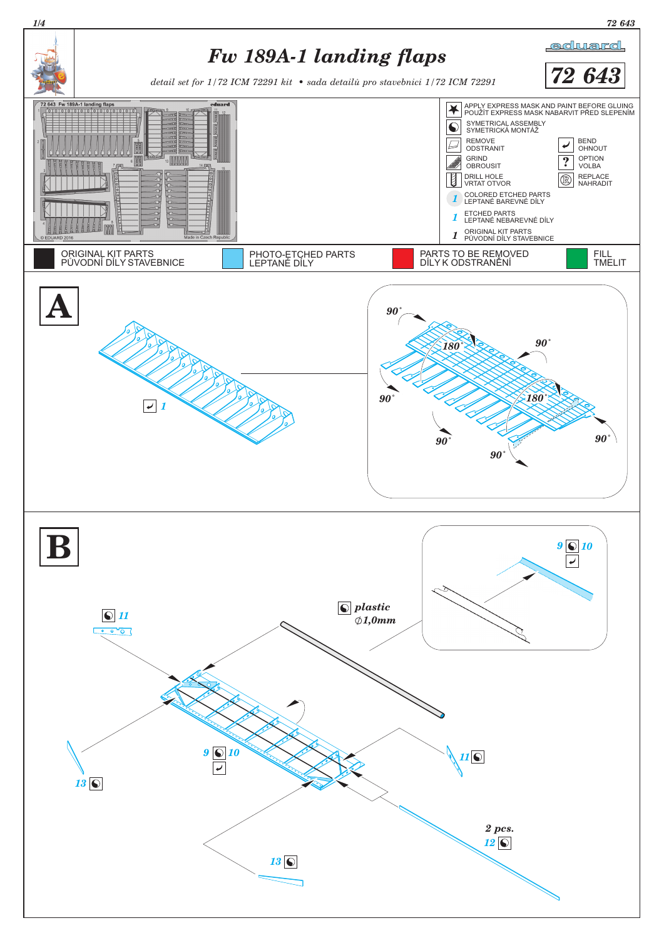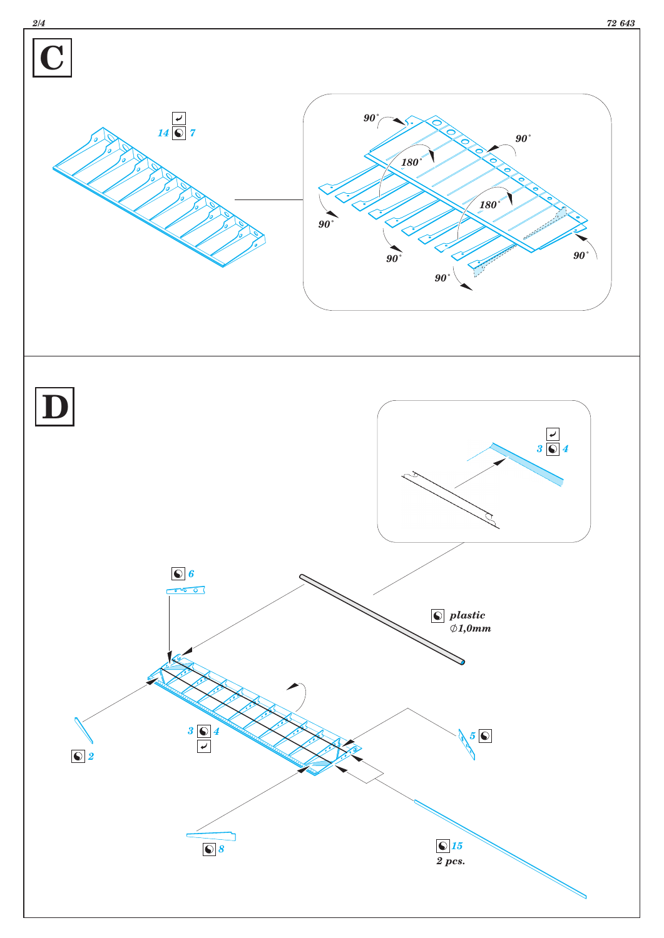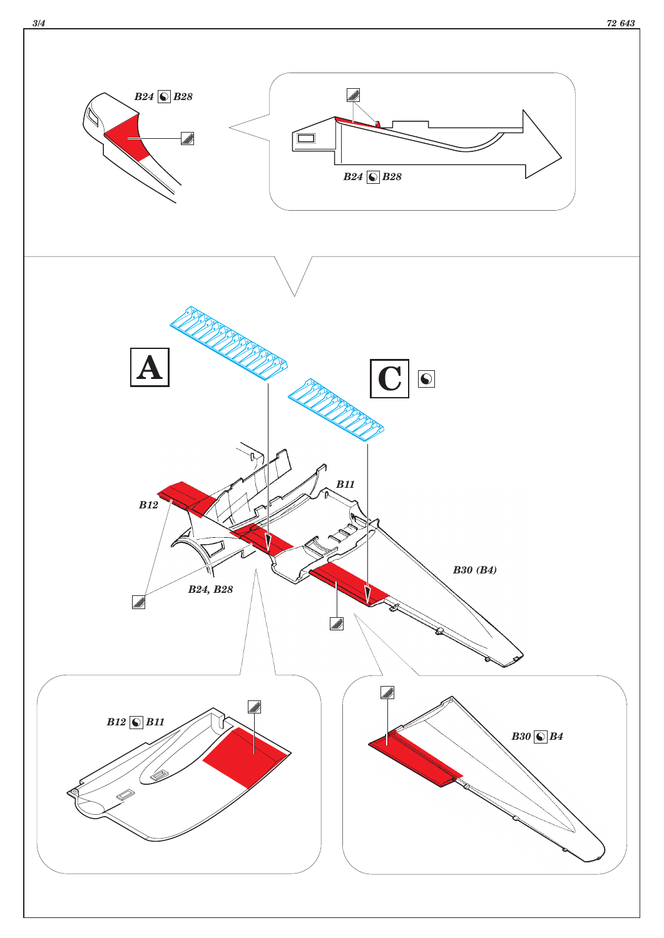